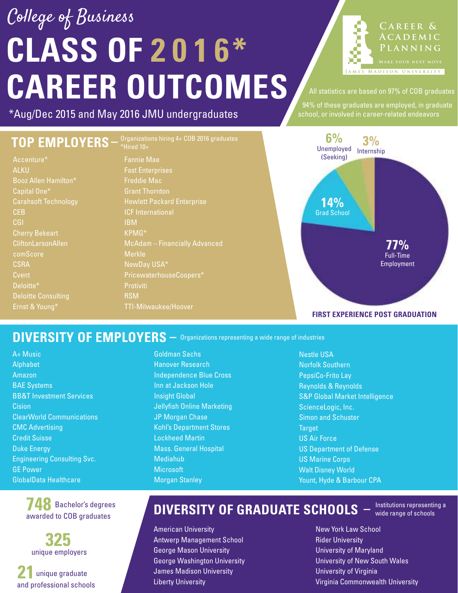# **CLASS OF 2 0 1 6\* CAREER OUTCOMES** College of Business

**C a r eer & A c a d e m i c PLANNING MADISON UNIVERSITY** 

All statistics are based on 97% of COB graduates

94% of these graduates are employed, in graduate

\*Aug/Dec 2015 and May 2016 JMU undergraduates school, or involved in career-related endeavors

### **TOP EMPLOYERS**

Accenture\* ALKU Booz Allen Hamilton\* Capital One\* Carahsoft Technology CEB CGI CliftonLarsonAllen comScore **CSRA C**vent Deloitte\*

Fannie Mae Fast Enterprises Freddie Mac Grant Thornton ICF International IBM KPMG\* McAdam – Financially Advanced Merkle NewDay USA\* PricewaterhouseCoopers\* **Protiviti** RSM Organizations hiring 4+ COB 2016 graduates **–** \*Hired 10+



#### **FIRST EXPERIENCE POST GRADUATION**

#### DIVERSITY OF EMPLOYERS  $-$  Organizations representing a wide range of industries

A+ Music Alphabet Amazon BAE Systems BB&T Investment Services **Cision** ClearWorld Communications CMC Advertising Credit Suisse Duke Energy Engineering Consulting Svc. GE Power GlobalData Healthcare

> **748** Bachelor's degrees awarded to COB graduates

**325** unique employers

**21** unique graduate and professional schools

Goldman Sachs Hanover Research Independence Blue Cross Inn at Jackson Hole Insight Global Jellyfish Online Marketing JP Morgan Chase Kohl's Department Stores Lockheed Martin Mass. General Hospital Mediahub **Microsoft** Morgan Stanley

Nestle USA Norfolk Southern PepsiCo-Frito Lay Reynolds & Reynolds S&P Global Market Intelligence ScienceLogic, Inc. Simon and Schuster Target US Air Force US Department of Defense US Marine Corps Walt Disney World Yount, Hyde & Barbour CPA

#### **DIVERSITY OF GRADUATE SCHOOLS**

Institutions representing a **–** wide range of schools

American University Antwerp Management School George Mason University George Washington University James Madison University Liberty University

New York Law School Rider University University of Maryland University of New South Wales University of Virginia Virginia Commonwealth University